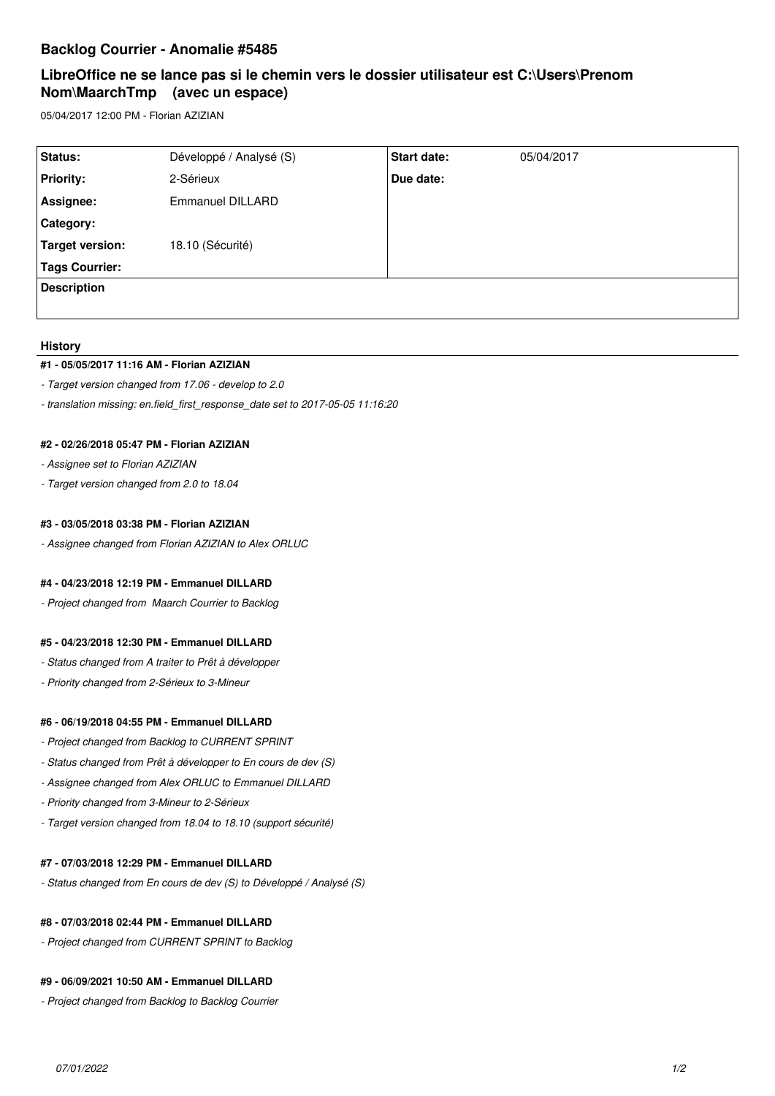## **Backlog Courrier - Anomalie #5485**

# **LibreOffice ne se lance pas si le chemin vers le dossier utilisateur est C:\Users\Prenom Nom\MaarchTmp (avec un espace)**

05/04/2017 12:00 PM - Florian AZIZIAN

| Status:               | Développé / Analysé (S) | Start date: | 05/04/2017 |
|-----------------------|-------------------------|-------------|------------|
| <b>Priority:</b>      | 2-Sérieux               | Due date:   |            |
| Assignee:             | Emmanuel DILLARD        |             |            |
| Category:             |                         |             |            |
| Target version:       | 18.10 (Sécurité)        |             |            |
| <b>Tags Courrier:</b> |                         |             |            |
| <b>Description</b>    |                         |             |            |
|                       |                         |             |            |

## **History**

## **#1 - 05/05/2017 11:16 AM - Florian AZIZIAN**

*- Target version changed from 17.06 - develop to 2.0*

*- translation missing: en.field\_first\_response\_date set to 2017-05-05 11:16:20*

## **#2 - 02/26/2018 05:47 PM - Florian AZIZIAN**

- *Assignee set to Florian AZIZIAN*
- *Target version changed from 2.0 to 18.04*

## **#3 - 03/05/2018 03:38 PM - Florian AZIZIAN**

*- Assignee changed from Florian AZIZIAN to Alex ORLUC*

## **#4 - 04/23/2018 12:19 PM - Emmanuel DILLARD**

*- Project changed from Maarch Courrier to Backlog*

#### **#5 - 04/23/2018 12:30 PM - Emmanuel DILLARD**

- *Status changed from A traiter to Prêt à développer*
- *Priority changed from 2-Sérieux to 3-Mineur*

## **#6 - 06/19/2018 04:55 PM - Emmanuel DILLARD**

- *Project changed from Backlog to CURRENT SPRINT*
- *Status changed from Prêt à développer to En cours de dev (S)*
- *Assignee changed from Alex ORLUC to Emmanuel DILLARD*
- *Priority changed from 3-Mineur to 2-Sérieux*
- *Target version changed from 18.04 to 18.10 (support sécurité)*

#### **#7 - 07/03/2018 12:29 PM - Emmanuel DILLARD**

*- Status changed from En cours de dev (S) to Développé / Analysé (S)*

## **#8 - 07/03/2018 02:44 PM - Emmanuel DILLARD**

*- Project changed from CURRENT SPRINT to Backlog*

## **#9 - 06/09/2021 10:50 AM - Emmanuel DILLARD**

*- Project changed from Backlog to Backlog Courrier*